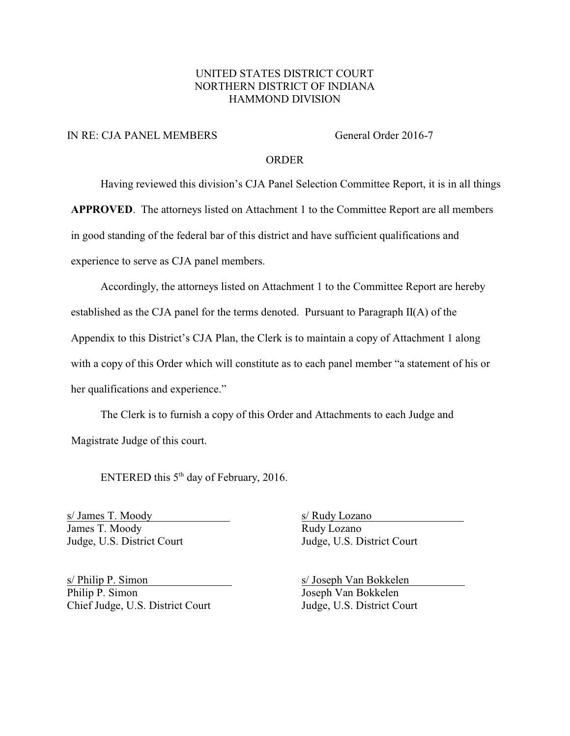### UNITED STATES DISTRICT COURT NORTHERN DISTRICT OF INDIANA HAMMOND DIVISION

### IN RE: CJA PANEL MEMBERS General Order 2016-7

### ORDER

Having reviewed this division's CJA Panel Selection Committee Report, it is in all things

**APPROVED**. The attorneys listed on Attachment 1 to the Committee Report are all members

in good standing of the federal bar of this district and have sufficient qualifications and

experience to serve as CJA panel members.

Accordingly, the attorneys listed on Attachment 1 to the Committee Report are hereby established as the CJA panel for the terms denoted. Pursuant to Paragraph  $II(A)$  of the Appendix to this District's CJA Plan, the Clerk is to maintain a copy of Attachment 1 along with a copy of this Order which will constitute as to each panel member "a statement of his or her qualifications and experience."

The Clerk is to furnish a copy of this Order and Attachments to each Judge and Magistrate Judge of this court.

ENTERED this  $5<sup>th</sup>$  day of February, 2016.

James T. Moody Rudy Lozano Judge, U.S. District Court Judge, U.S. District Court

s/ Philip P. Simon s/ Joseph Van Bokkelen Philip P. Simon Joseph Van Bokkelen Chief Judge, U.S. District Court Judge, U.S. District Court

s/ James T. Moody s/ Rudy Lozano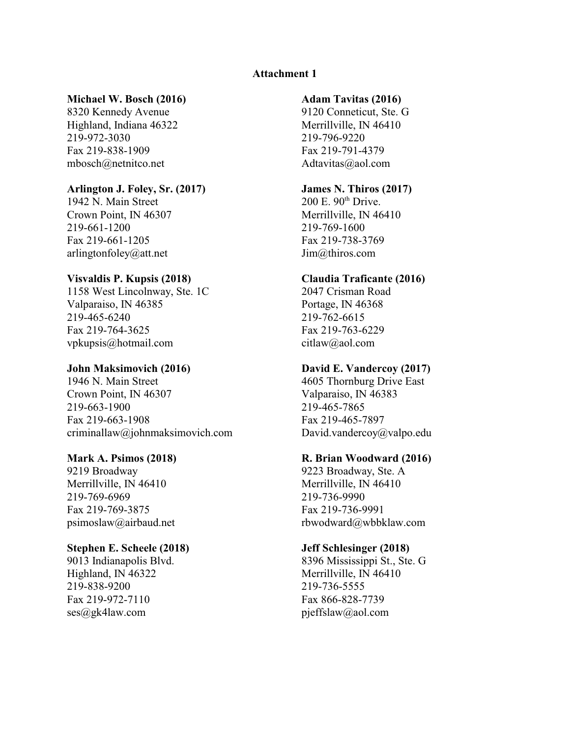### **Attachment 1**

### **Michael W. Bosch (2016) Adam Tavitas (2016)**

Highland, Indiana 46322 Merrillville, IN 46410 219-972-3030 219-796-9220 Fax 219-838-1909 Fax 219-791-4379 mbosch@netnitco.net Adtavitas@aol.com

## **Arlington J. Foley, Sr. (2017) James N. Thiros (2017)** 1942 N. Main Street 200 E. 90<sup>th</sup> Drive.

1942 N. Main Street Crown Point, IN 46307 Merrillville, IN 46410 219-661-1200 219-769-1600 Fax 219-661-1205 Fax 219-738-3769 arlingtonfoley@att.net Jim@thiros.com

## **Visvaldis P. Kupsis (2018) Claudia Traficante (2016)**

1158 West Lincolnway, Ste. 1C Valparaiso, IN 46385 Portage, IN 46368 219-465-6240 219-762-6615 Fax 219-764-3625 Fax 219-763-6229 vpkupsis@hotmail.com citlaw@aol.com

1946 N. Main Street 4605 Thornburg Drive East Crown Point, IN 46307 Valparaiso, IN 46383 219-663-1900 219-465-7865 Fax 219-663-1908 Fax 219-465-7897 criminallaw@johnmaksimovich.com David.vandercoy@valpo.edu

9219 Broadway 9223 Broadway, Ste. A Merrillville, IN 46410 Merrillville, IN 46410 219-769-6969 219-736-9990 Fax 219-769-3875 Fax 219-736-9991

### **Stephen E. Scheele (2018) Jeff Schlesinger (2018)**

Highland, IN 46322 Merrillville, IN 46410 219-838-9200 219-736-5555 Fax 219-972-7110 Fax 866-828-7739 ses@gk4law.com pjeffslaw@aol.com

8320 Kennedy Avenue 9120 Conneticut, Ste. G

### **John Maksimovich (2016) David E. Vandercoy (2017)**

### **Mark A. Psimos (2018) R. Brian Woodward (2016)**

psimoslaw@airbaud.net rbwodward@wbbklaw.com

9013 Indianapolis Blvd. 8396 Mississippi St., Ste. G